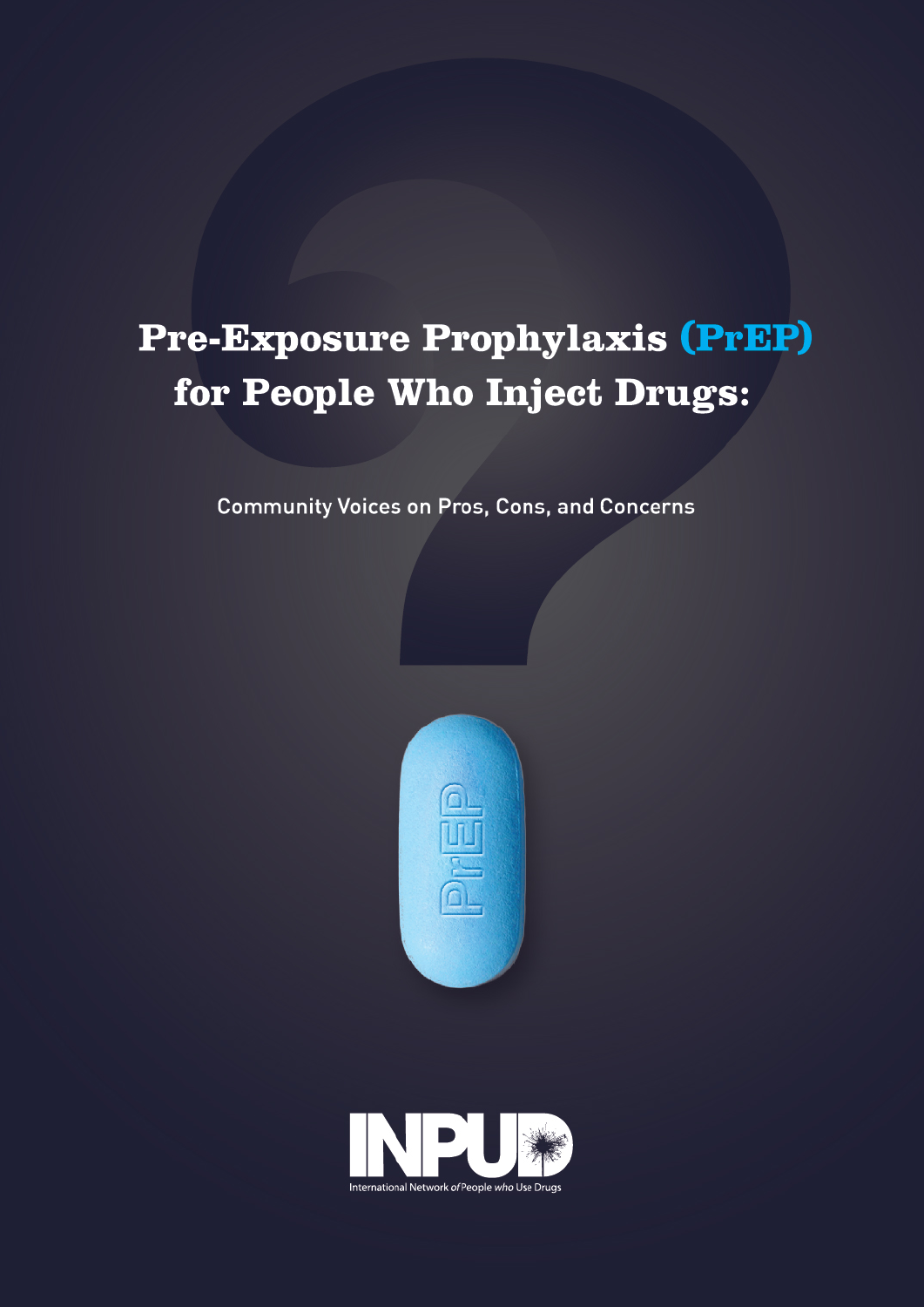# Pre-Exposure Prophylaxis (PrEP) for People Who Inject Drugs:

**Community Voices on Pros, Cons, and Concerns** 



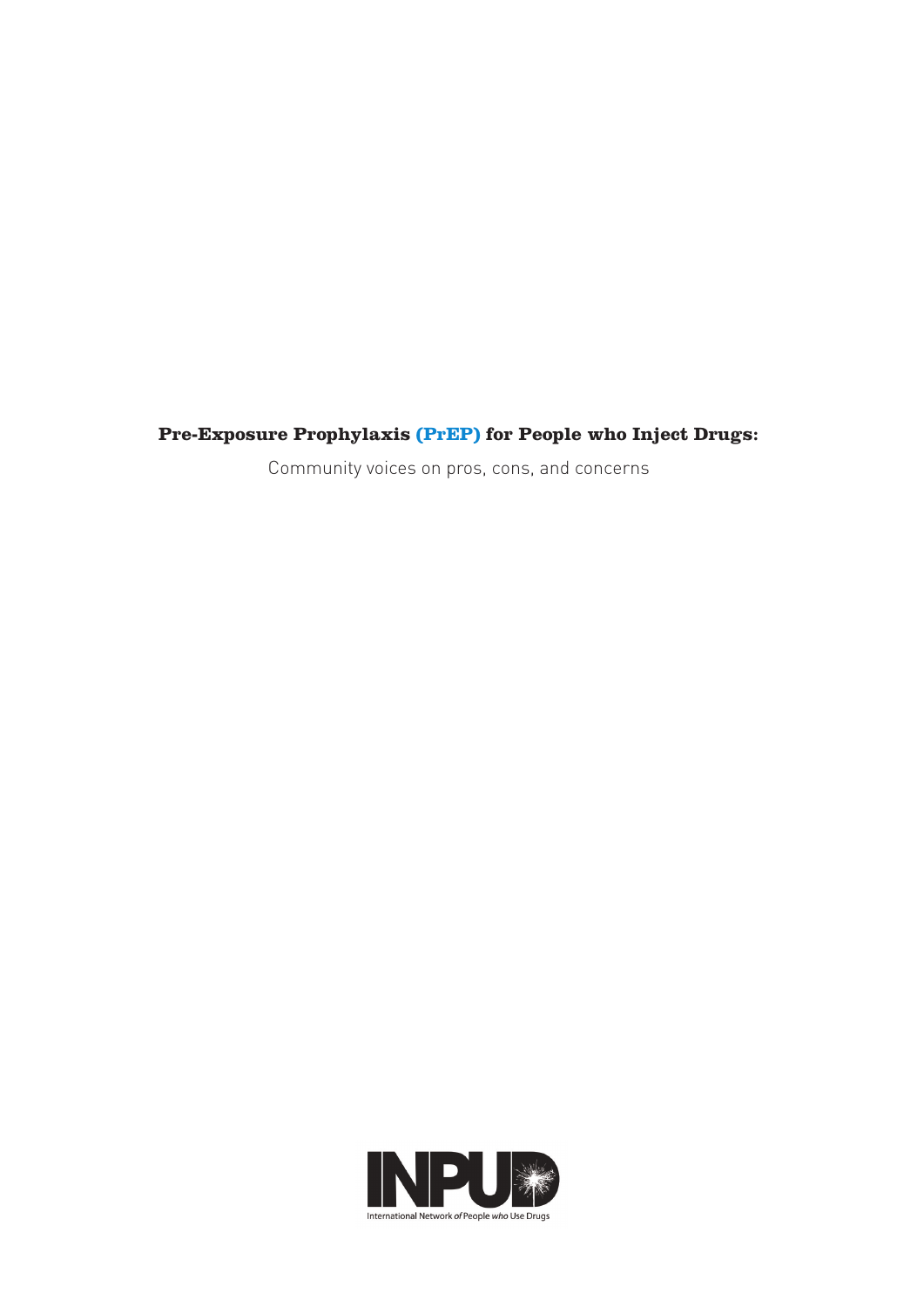## **Pre-Exposure Prophylaxis (PrEP) for People who Inject Drugs:**

Community voices on pros, cons, and concerns

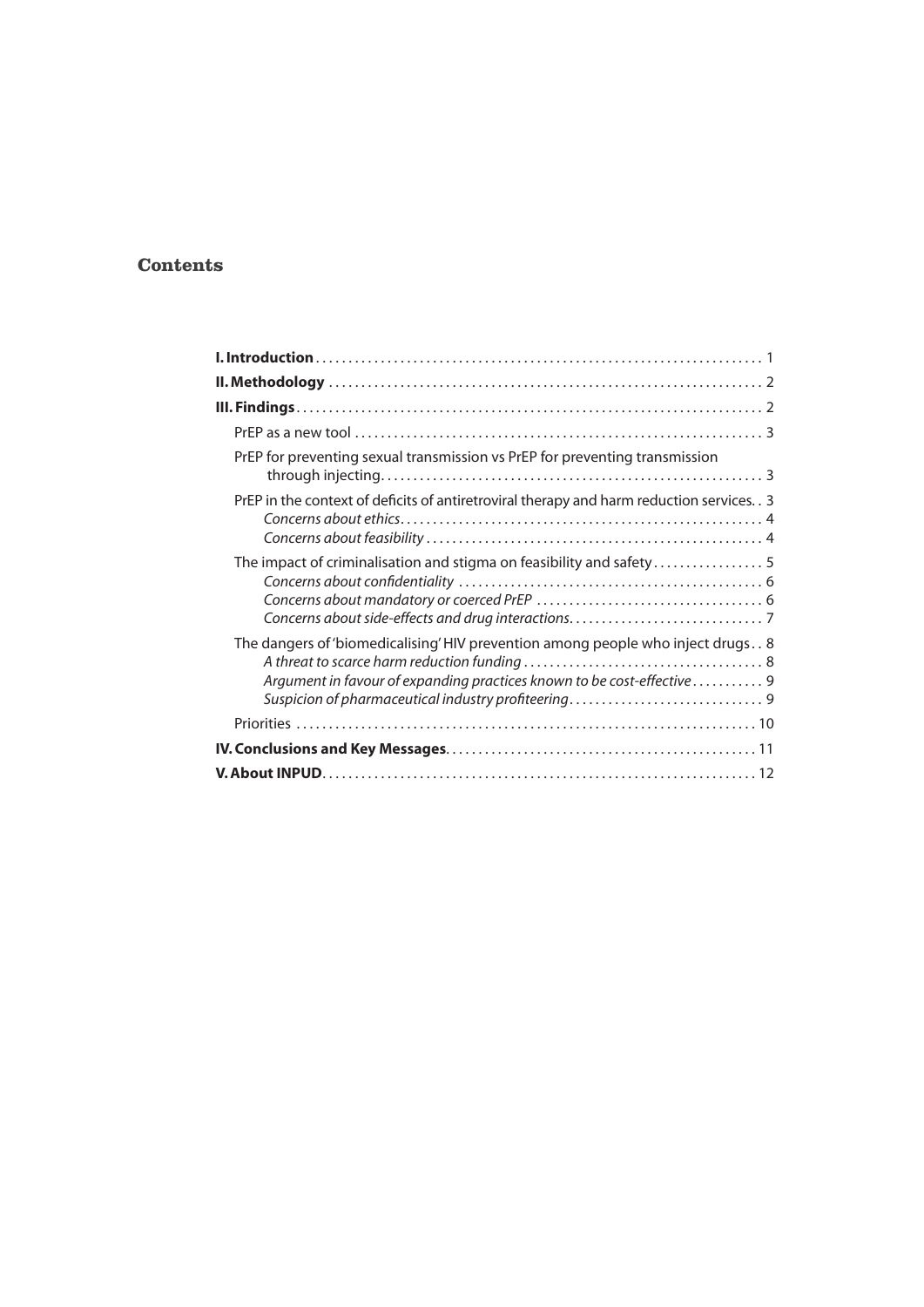#### **Contents**

| PrEP for preventing sexual transmission vs PrEP for preventing transmission                                                                                |  |
|------------------------------------------------------------------------------------------------------------------------------------------------------------|--|
| PrEP in the context of deficits of antiretroviral therapy and harm reduction services. . 3                                                                 |  |
| The impact of criminalisation and stigma on feasibility and safety                                                                                         |  |
| The dangers of 'biomedicalising' HIV prevention among people who inject drugs. . 8<br>Argument in favour of expanding practices known to be cost-effective |  |
|                                                                                                                                                            |  |
|                                                                                                                                                            |  |
|                                                                                                                                                            |  |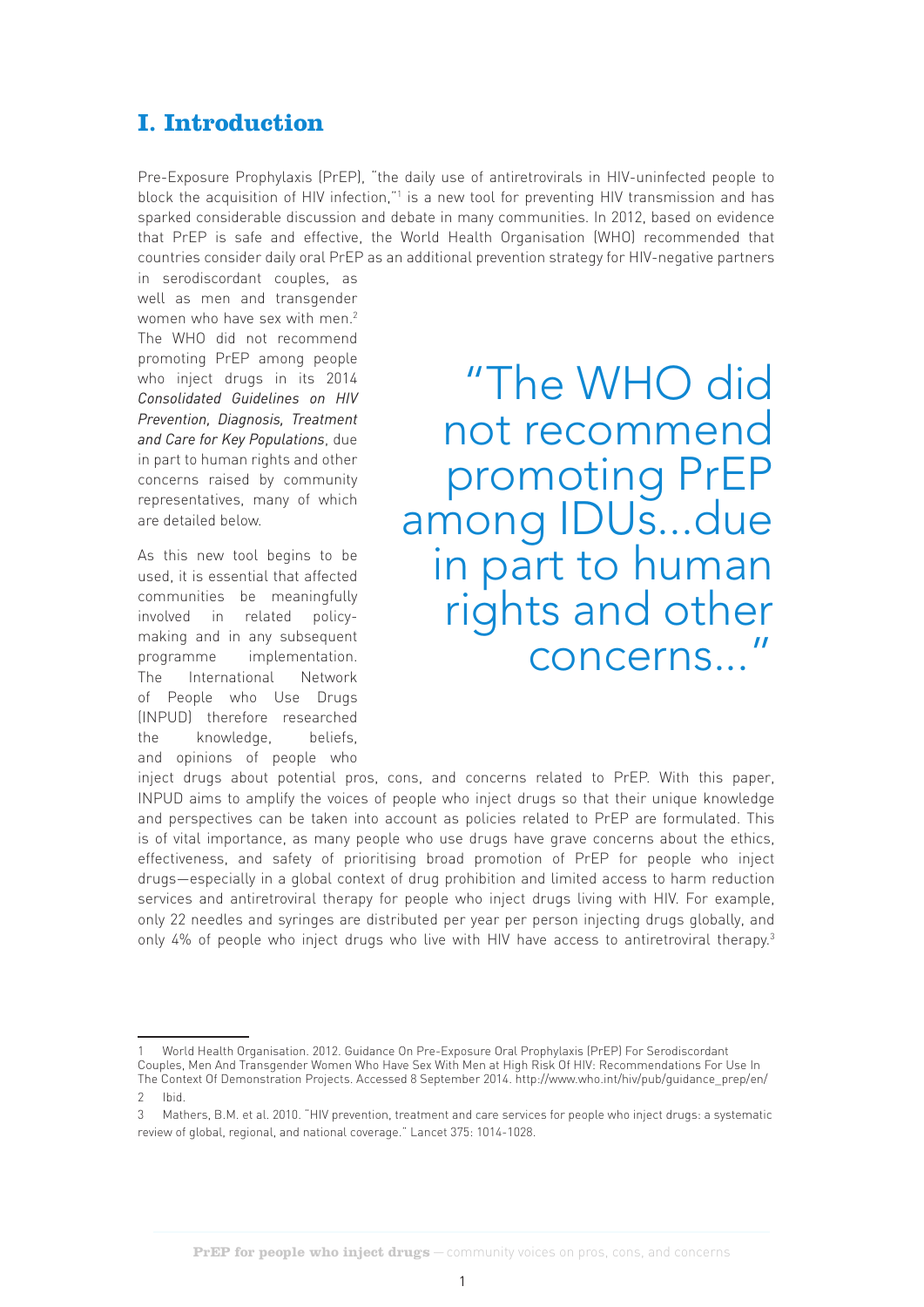# **I. Introduction**

Pre-Exposure Prophylaxis (PrEP), "the daily use of antiretrovirals in HIV-uninfected people to block the acquisition of HIV infection,"<sup>1</sup> is a new tool for preventing HIV transmission and has sparked considerable discussion and debate in many communities. In 2012, based on evidence that PrEP is safe and effective, the World Health Organisation (WHO) recommended that countries consider daily oral PrEP as an additional prevention strategy for HIV-negative partners

in serodiscordant couples, as well as men and transgender women who have sex with men.<sup>2</sup> The WHO did not recommend promoting PrEP among people who inject drugs in its 2014 *Consolidated Guidelines on HIV Prevention, Diagnosis, Treatment and Care for Key Populations*, due in part to human rights and other concerns raised by community representatives, many of which are detailed below.

As this new tool begins to be used, it is essential that affected communities be meaningfully involved in related policymaking and in any subsequent programme implementation. The International Network of People who Use Drugs (INPUD) therefore researched the knowledge, beliefs, and opinions of people who

"The WHO did not recommend promoting PrEP among IDUs...due in part to human rights and other concerns..."

inject drugs about potential pros, cons, and concerns related to PrEP. With this paper, INPUD aims to amplify the voices of people who inject drugs so that their unique knowledge and perspectives can be taken into account as policies related to PrEP are formulated. This is of vital importance, as many people who use drugs have grave concerns about the ethics, effectiveness, and safety of prioritising broad promotion of PrEP for people who inject drugs—especially in a global context of drug prohibition and limited access to harm reduction services and antiretroviral therapy for people who inject drugs living with HIV. For example, only 22 needles and syringes are distributed per year per person injecting drugs globally, and only 4% of people who inject drugs who live with HIV have access to antiretroviral therapy.<sup>3</sup>

<sup>1</sup> World Health Organisation. 2012. Guidance On Pre-Exposure Oral Prophylaxis (PrEP) For Serodiscordant Couples, Men And Transgender Women Who Have Sex With Men at High Risk Of HIV: Recommendations For Use In The Context Of Demonstration Projects. Accessed 8 September 2014. http://www.who.int/hiv/pub/guidance\_prep/en/

<sup>2</sup> Ibid.

Mathers, B.M. et al. 2010. "HIV prevention, treatment and care services for people who inject drugs: a systematic review of global, regional, and national coverage." Lancet 375: 1014-1028.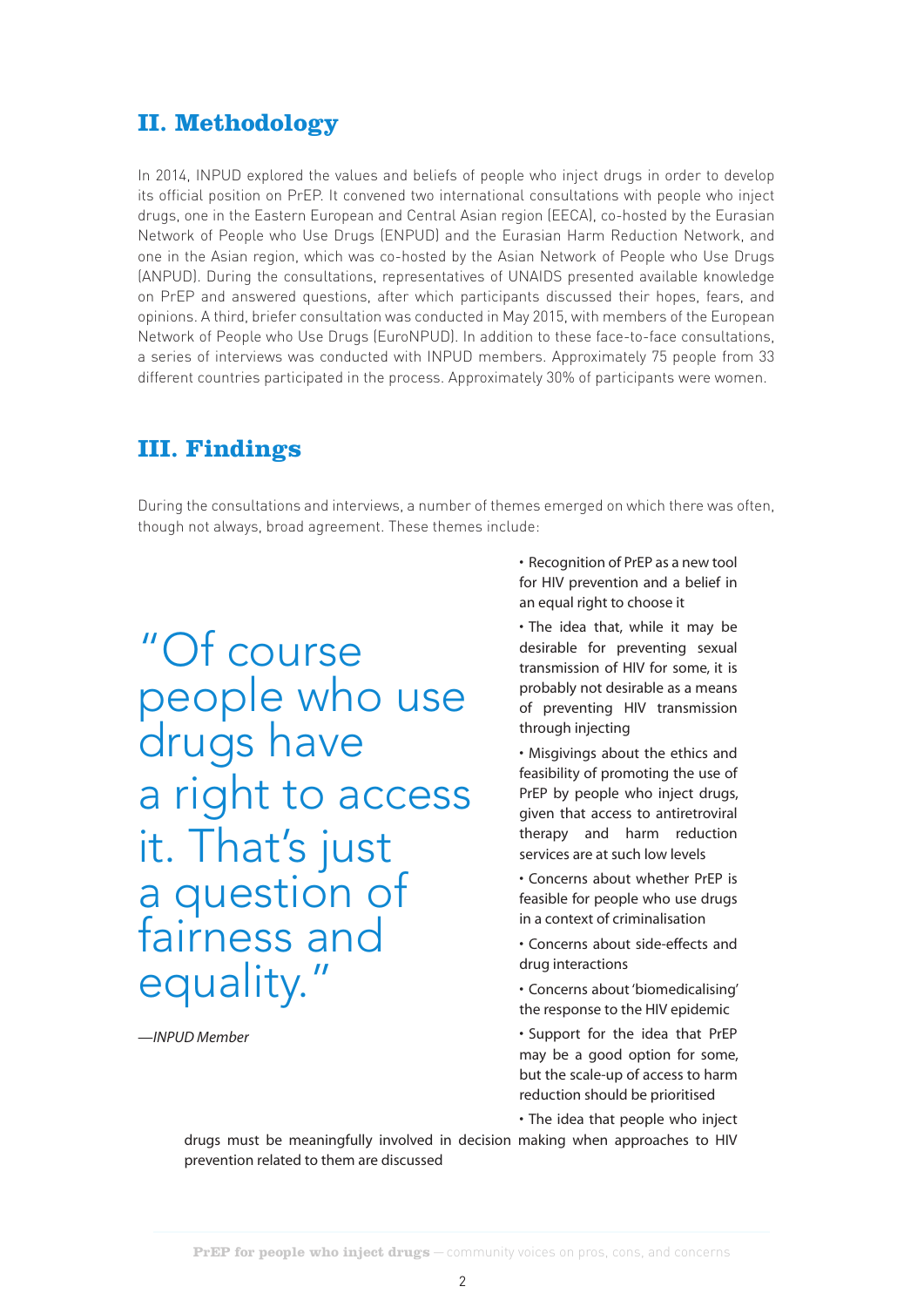## **II. Methodology**

In 2014, INPUD explored the values and beliefs of people who inject drugs in order to develop its official position on PrEP. It convened two international consultations with people who inject drugs, one in the Eastern European and Central Asian region (EECA), co-hosted by the Eurasian Network of People who Use Drugs (ENPUD) and the Eurasian Harm Reduction Network, and one in the Asian region, which was co-hosted by the Asian Network of People who Use Drugs (ANPUD). During the consultations, representatives of UNAIDS presented available knowledge on PrEP and answered questions, after which participants discussed their hopes, fears, and opinions. A third, briefer consultation was conducted in May 2015, with members of the European Network of People who Use Drugs (EuroNPUD). In addition to these face-to-face consultations, a series of interviews was conducted with INPUD members. Approximately 75 people from 33 different countries participated in the process. Approximately 30% of participants were women.

## **III. Findings**

During the consultations and interviews, a number of themes emerged on which there was often, though not always, broad agreement. These themes include:

"Of course people who use drugs have a right to access it. That's just a question of fairness and equality."

*—INPUD Member*

• Recognition of PrEP as a new tool for HIV prevention and a belief in an equal right to choose it

• The idea that, while it may be desirable for preventing sexual transmission of HIV for some, it is probably not desirable as a means of preventing HIV transmission through injecting

• Misgivings about the ethics and feasibility of promoting the use of PrEP by people who inject drugs, given that access to antiretroviral therapy and harm reduction services are at such low levels

• Concerns about whether PrEP is feasible for people who use drugs in a context of criminalisation

• Concerns about side-effects and drug interactions

• Concerns about 'biomedicalising' the response to the HIV epidemic

• Support for the idea that PrEP may be a good option for some, but the scale-up of access to harm reduction should be prioritised

• The idea that people who inject

drugs must be meaningfully involved in decision making when approaches to HIV prevention related to them are discussed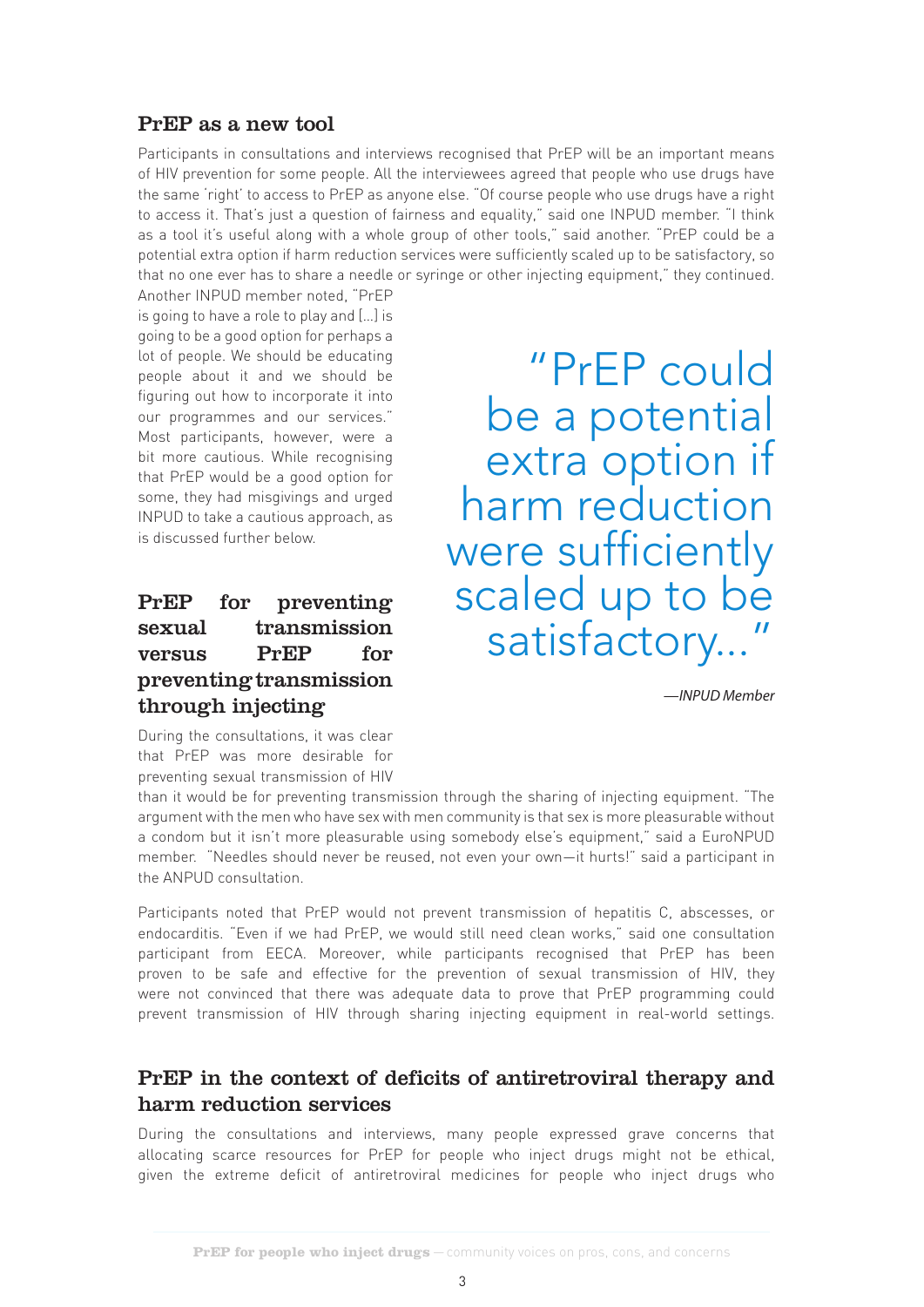#### PrEP as a new tool

Participants in consultations and interviews recognised that PrEP will be an important means of HIV prevention for some people. All the interviewees agreed that people who use drugs have the same 'right' to access to PrEP as anyone else. "Of course people who use drugs have a right to access it. That's just a question of fairness and equality," said one INPUD member. "I think as a tool it's useful along with a whole group of other tools," said another. "PrEP could be a potential extra option if harm reduction services were sufficiently scaled up to be satisfactory, so that no one ever has to share a needle or syringe or other injecting equipment," they continued.

Another INPUD member noted, "PrEP is going to have a role to play and […] is going to be a good option for perhaps a lot of people. We should be educating people about it and we should be figuring out how to incorporate it into our programmes and our services." Most participants, however, were a bit more cautious. While recognising that PrEP would be a good option for some, they had misgivings and urged INPUD to take a cautious approach, as is discussed further below.

## PrEP for preventing sexual transmission versus PrEP for preventing transmission through injecting

During the consultations, it was clear that PrEP was more desirable for preventing sexual transmission of HIV

"PrEP could be a potential extra option if harm reduction were sufficiently scaled up to be satisfactory...

*—INPUD Member*

than it would be for preventing transmission through the sharing of injecting equipment. "The argument with the men who have sex with men community is that sex is more pleasurable without a condom but it isn't more pleasurable using somebody else's equipment," said a EuroNPUD member. "Needles should never be reused, not even your own—it hurts!" said a participant in the ANPUD consultation.

Participants noted that PrEP would not prevent transmission of hepatitis C, abscesses, or endocarditis. "Even if we had PrEP, we would still need clean works," said one consultation participant from EECA. Moreover, while participants recognised that PrEP has been proven to be safe and effective for the prevention of sexual transmission of HIV, they were not convinced that there was adequate data to prove that PrEP programming could prevent transmission of HIV through sharing injecting equipment in real-world settings.

### PrEP in the context of deficits of antiretroviral therapy and harm reduction services

During the consultations and interviews, many people expressed grave concerns that allocating scarce resources for PrEP for people who inject drugs might not be ethical, given the extreme deficit of antiretroviral medicines for people who inject drugs who

 $\sim$  3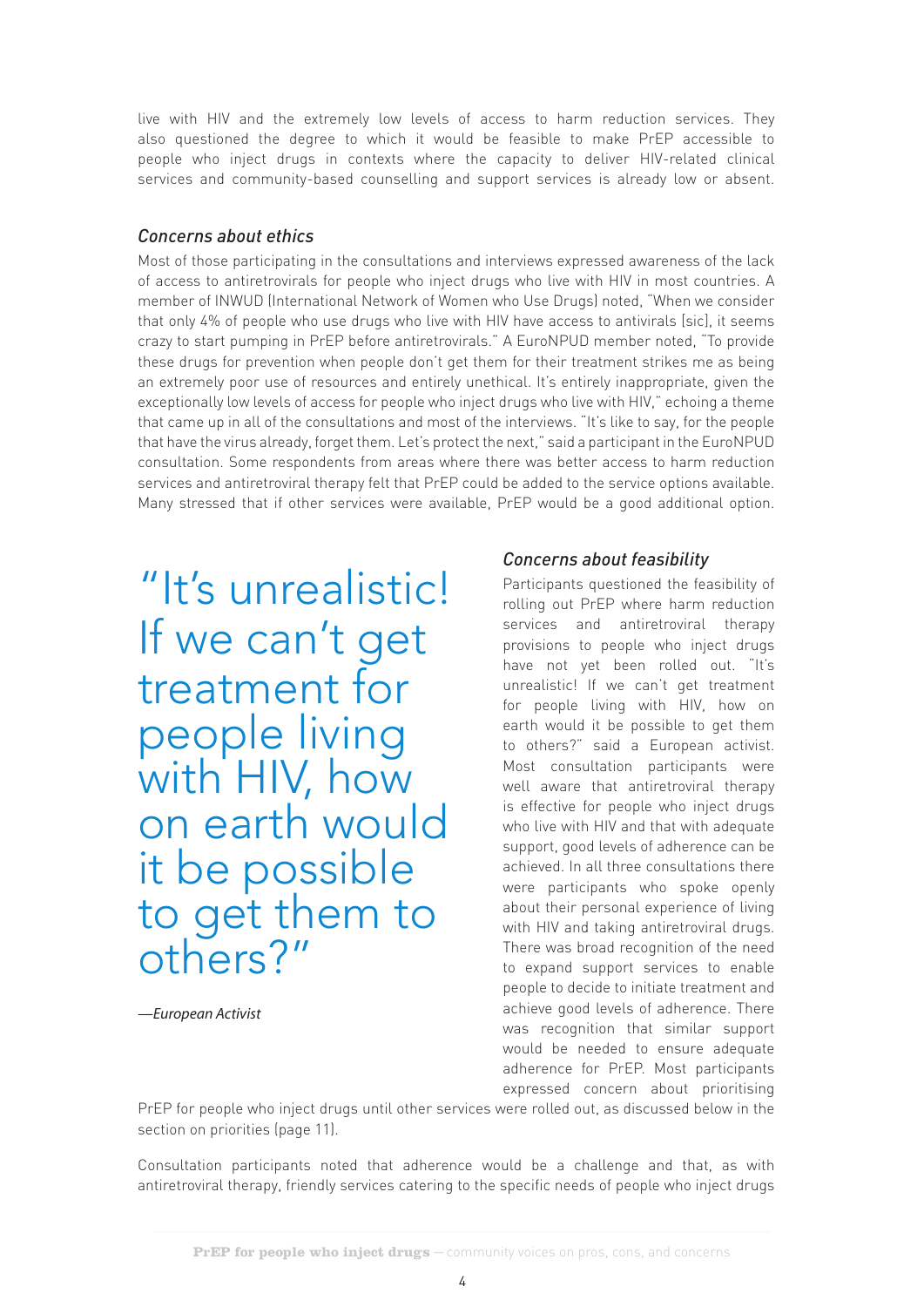live with HIV and the extremely low levels of access to harm reduction services. They also questioned the degree to which it would be feasible to make PrEP accessible to people who inject drugs in contexts where the capacity to deliver HIV-related clinical services and community-based counselling and support services is already low or absent.

#### *Concerns about ethics*

Most of those participating in the consultations and interviews expressed awareness of the lack of access to antiretrovirals for people who inject drugs who live with HIV in most countries. A member of INWUD (International Network of Women who Use Drugs) noted, "When we consider that only 4% of people who use drugs who live with HIV have access to antivirals [sic], it seems crazy to start pumping in PrEP before antiretrovirals." A EuroNPUD member noted, "To provide these drugs for prevention when people don't get them for their treatment strikes me as being an extremely poor use of resources and entirely unethical. It's entirely inappropriate, given the exceptionally low levels of access for people who inject drugs who live with HIV," echoing a theme that came up in all of the consultations and most of the interviews. "It's like to say, for the people that have the virus already, forget them. Let's protect the next," said a participant in the EuroNPUD consultation. Some respondents from areas where there was better access to harm reduction services and antiretroviral therapy felt that PrEP could be added to the service options available. Many stressed that if other services were available, PrEP would be a good additional option.

"It's unrealistic! If we can't get treatment for people living with HIV, how on earth would it be possible to get them to others?"

*—European Activist*

#### *Concerns about feasibility*

Participants questioned the feasibility of rolling out PrEP where harm reduction services and antiretroviral therapy provisions to people who inject drugs have not yet been rolled out. "It's unrealistic! If we can't get treatment for people living with HIV, how on earth would it be possible to get them to others?" said a European activist. Most consultation participants were well aware that antiretroviral therapy is effective for people who inject drugs who live with HIV and that with adequate support, good levels of adherence can be achieved. In all three consultations there were participants who spoke openly about their personal experience of living with HIV and taking antiretroviral drugs. There was broad recognition of the need to expand support services to enable people to decide to initiate treatment and achieve good levels of adherence. There was recognition that similar support would be needed to ensure adequate adherence for PrEP. Most participants expressed concern about prioritising

PrEP for people who inject drugs until other services were rolled out, as discussed below in the section on priorities (page 11).

Consultation participants noted that adherence would be a challenge and that, as with antiretroviral therapy, friendly services catering to the specific needs of people who inject drugs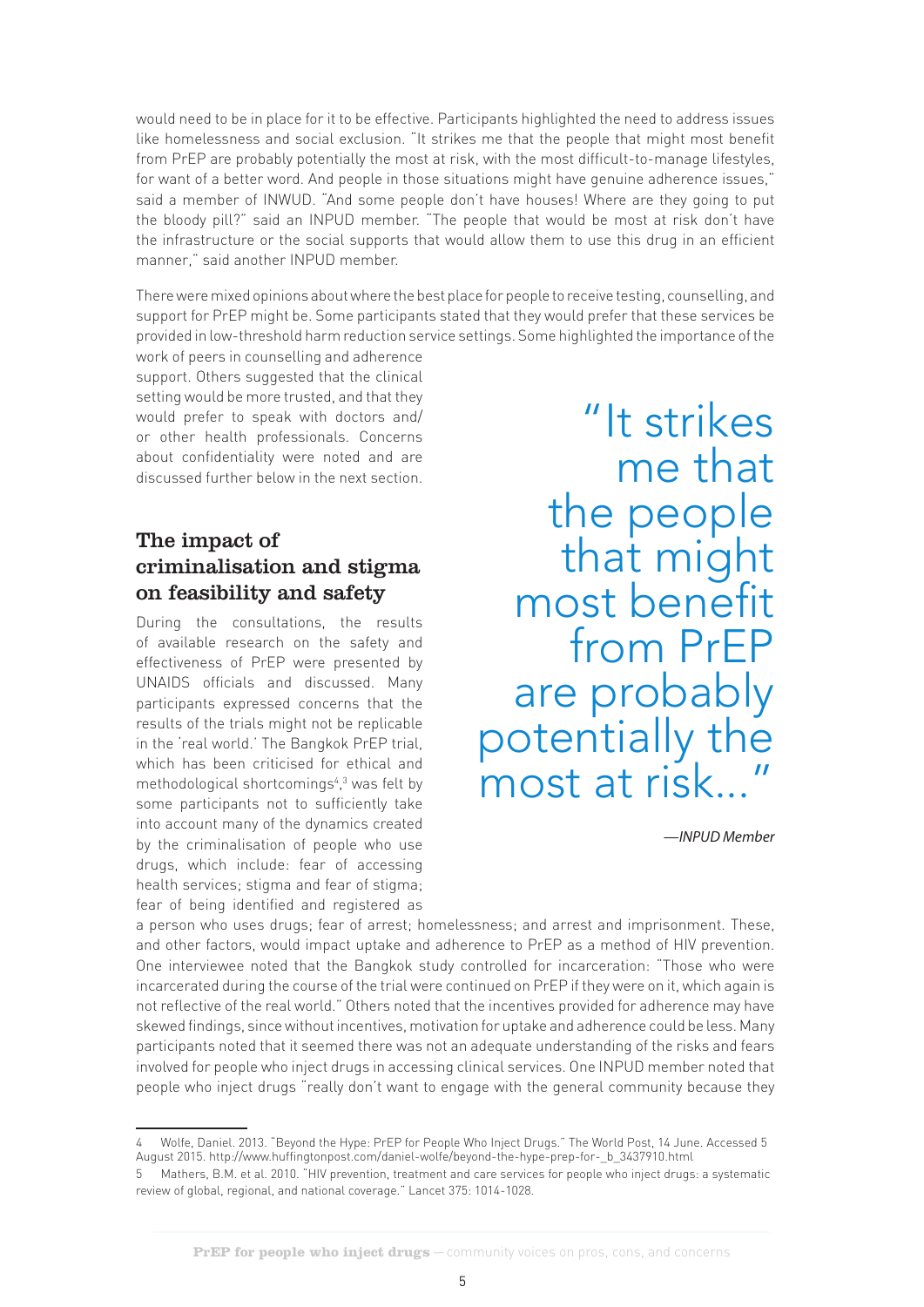would need to be in place for it to be effective. Participants highlighted the need to address issues like homelessness and social exclusion. "It strikes me that the people that might most benefit from PrEP are probably potentially the most at risk, with the most difficult-to-manage lifestyles, for want of a better word. And people in those situations might have genuine adherence issues," said a member of INWUD. "And some people don't have houses! Where are they going to put the bloody pill?" said an INPUD member. "The people that would be most at risk don't have the infrastructure or the social supports that would allow them to use this drug in an efficient manner," said another INPUD member.

There were mixed opinions about where the best place for people to receive testing, counselling, and support for PrEP might be. Some participants stated that they would prefer that these services be provided in low-threshold harm reduction service settings. Some highlighted the importance of the

work of peers in counselling and adherence support. Others suggested that the clinical setting would be more trusted, and that they would prefer to speak with doctors and/ or other health professionals. Concerns about confidentiality were noted and are discussed further below in the next section.

## The impact of criminalisation and stigma on feasibility and safety

During the consultations, the results of available research on the safety and effectiveness of PrEP were presented by UNAIDS officials and discussed. Many participants expressed concerns that the results of the trials might not be replicable in the 'real world.' The Bangkok PrEP trial, which has been criticised for ethical and methodological shortcomings<sup>4</sup>,<sup>3</sup> was felt by some participants not to sufficiently take into account many of the dynamics created by the criminalisation of people who use drugs, which include: fear of accessing health services; stigma and fear of stigma; fear of being identified and registered as

"It strikes me that the people that might<br>most benefit from PrEP are probably potentially the most at risk...

*—INPUD Member*

a person who uses drugs; fear of arrest; homelessness; and arrest and imprisonment. These, and other factors, would impact uptake and adherence to PrEP as a method of HIV prevention. One interviewee noted that the Bangkok study controlled for incarceration: "Those who were incarcerated during the course of the trial were continued on PrEP if they were on it, which again is not reflective of the real world." Others noted that the incentives provided for adherence may have skewed findings, since without incentives, motivation for uptake and adherence could be less. Many participants noted that it seemed there was not an adequate understanding of the risks and fears involved for people who inject drugs in accessing clinical services. One INPUD member noted that people who inject drugs "really don't want to engage with the general community because they

<sup>4</sup> Wolfe, Daniel. 2013. "Beyond the Hype: PrEP for People Who Inject Drugs." The World Post, 14 June. Accessed 5 August 2015. http://www.huffingtonpost.com/daniel-wolfe/beyond-the-hype-prep-for-\_b\_3437910.html

<sup>5</sup> Mathers, B.M. et al. 2010. "HIV prevention, treatment and care services for people who inject drugs: a systematic review of global, regional, and national coverage." Lancet 375: 1014-1028.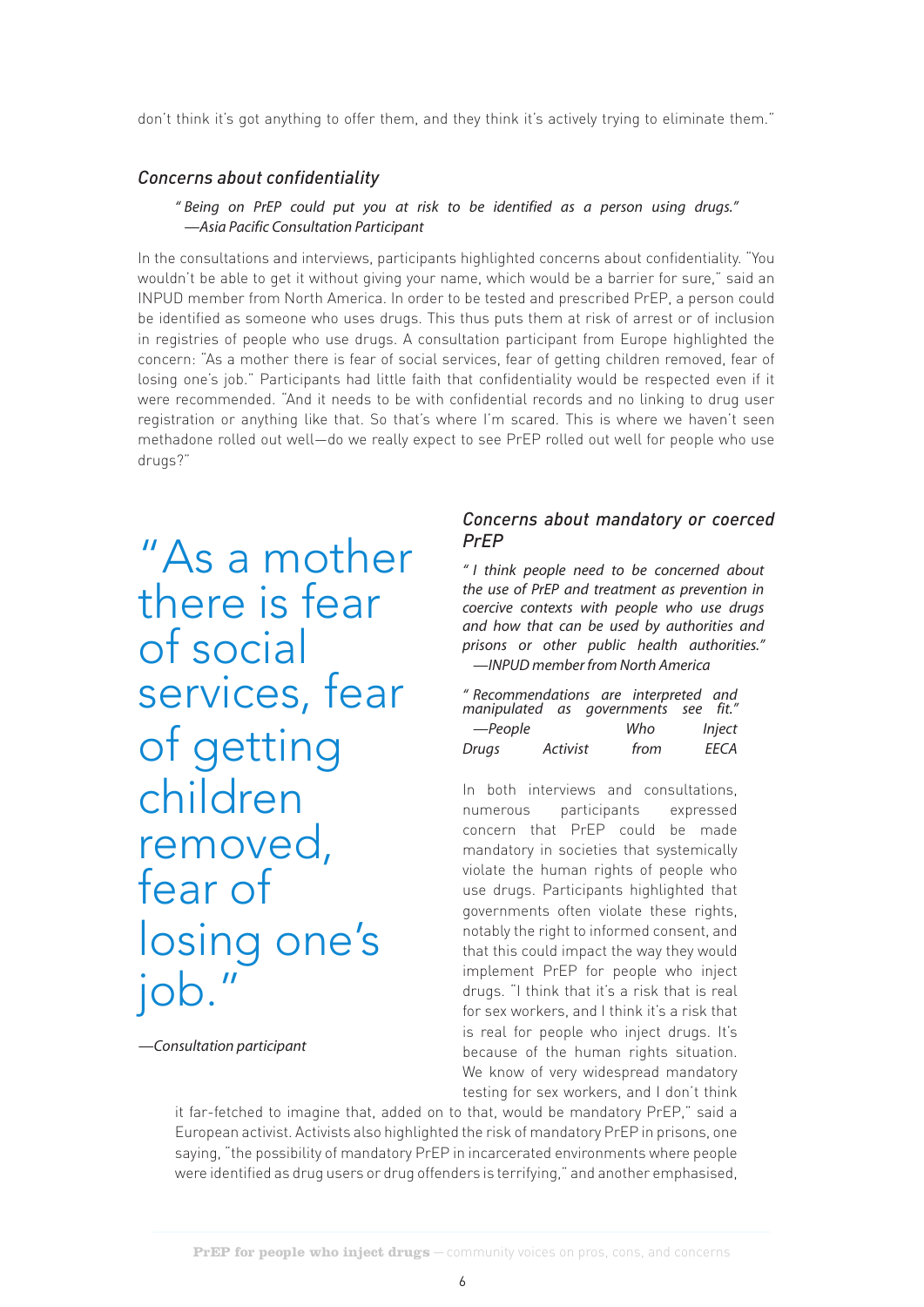don't think it's got anything to offer them, and they think it's actively trying to eliminate them."

#### *Concerns about confidentiality*

#### *" Being on PrEP could put you at risk to be identified as a person using drugs." —Asia Pacific Consultation Participant*

In the consultations and interviews, participants highlighted concerns about confidentiality. "You wouldn't be able to get it without giving your name, which would be a barrier for sure," said an INPUD member from North America. In order to be tested and prescribed PrEP, a person could be identified as someone who uses drugs. This thus puts them at risk of arrest or of inclusion in registries of people who use drugs. A consultation participant from Europe highlighted the concern: "As a mother there is fear of social services, fear of getting children removed, fear of losing one's job." Participants had little faith that confidentiality would be respected even if it were recommended. "And it needs to be with confidential records and no linking to drug user registration or anything like that. So that's where I'm scared. This is where we haven't seen methadone rolled out well—do we really expect to see PrEP rolled out well for people who use drugs?"

"As a mother there is fear of social services, fear of getting children removed, fear of losing one's job."

*—Consultation participant*

#### *Concerns about mandatory or coerced PrEP*

*" I think people need to be concerned about the use of PrEP and treatment as prevention in coercive contexts with people who use drugs and how that can be used by authorities and prisons or other public health authorities." —INPUD member from North America*

| " Recommendations are interpreted and<br>manipulated as governments see fit." |          |      |               |  |
|-------------------------------------------------------------------------------|----------|------|---------------|--|
| —People                                                                       |          | Who  | <i>Inject</i> |  |
| Drugs                                                                         | Activist | from | FFCA          |  |

In both interviews and consultations, numerous participants expressed concern that PrEP could be made mandatory in societies that systemically violate the human rights of people who use drugs. Participants highlighted that governments often violate these rights, notably the right to informed consent, and that this could impact the way they would implement PrEP for people who inject drugs. "I think that it's a risk that is real for sex workers, and I think it's a risk that is real for people who inject drugs. It's because of the human rights situation. We know of very widespread mandatory testing for sex workers, and I don't think

it far-fetched to imagine that, added on to that, would be mandatory PrEP," said a European activist. Activists also highlighted the risk of mandatory PrEP in prisons, one saying, "the possibility of mandatory PrEP in incarcerated environments where people were identified as drug users or drug offenders is terrifying," and another emphasised,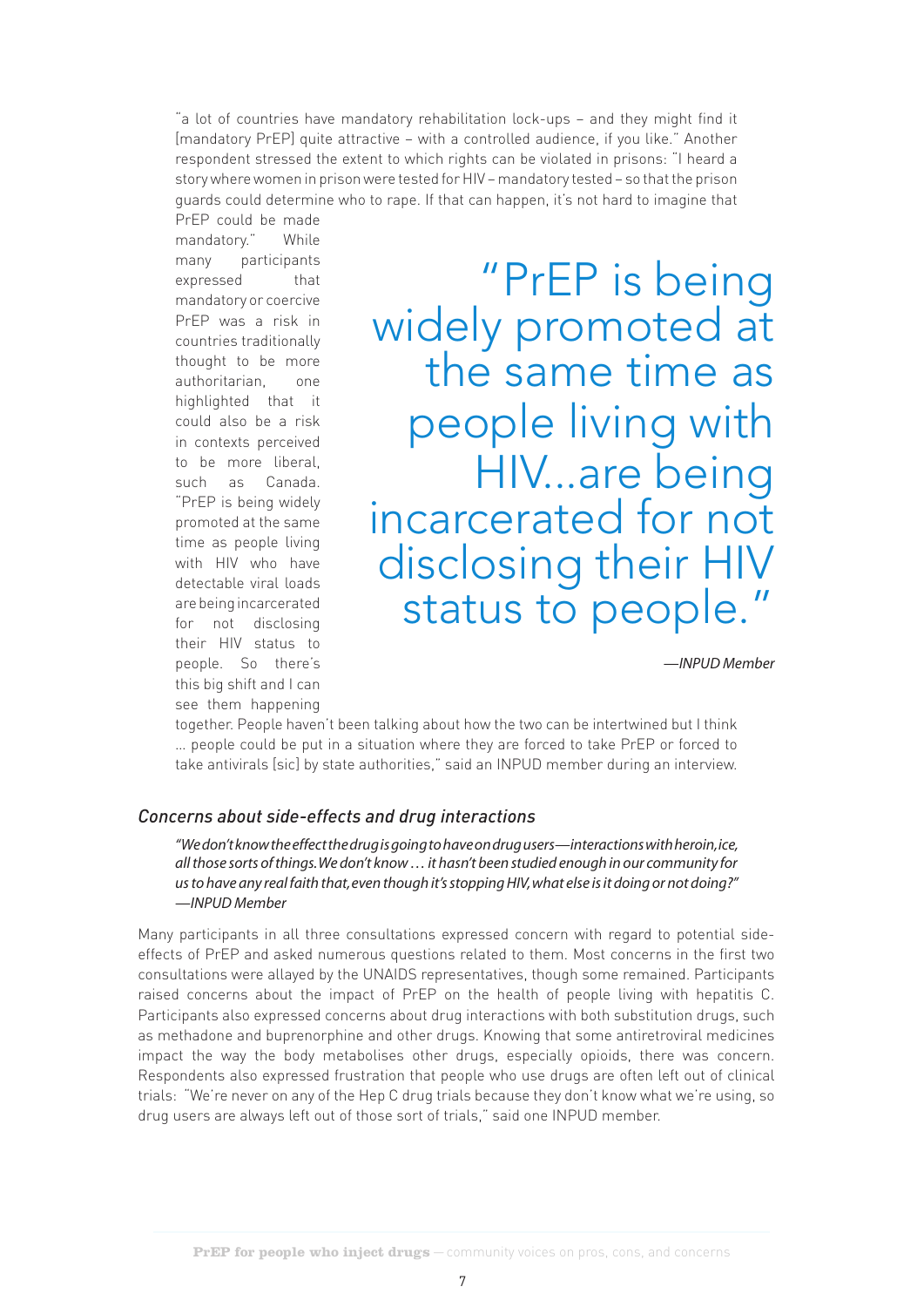"a lot of countries have mandatory rehabilitation lock-ups - and they might find it [mandatory PrEP] quite attractive – with a controlled audience, if you like." Another respondent stressed the extent to which rights can be violated in prisons: "I heard a story where women in prison were tested for HIV – mandatory tested – so that the prison guards could determine who to rape. If that can happen, it's not hard to imagine that PrEP could be made

mandatory." While many participants expressed that mandatory or coercive PrEP was a risk in countries traditionally thought to be more authoritarian, one highlighted that it could also be a risk in contexts perceived to be more liberal, such as Canada. "PrEP is being widely promoted at the same time as people living with HIV who have detectable viral loads are being incarcerated for not disclosing their HIV status to people. So there's this big shift and I can see them happening

"PrEP is being"<br>widely promoted at<br>the same time as people living with HIV...are being<br>incarcerated for not disclosing their HIV status to people."

*—INPUD Member*

together. People haven't been talking about how the two can be intertwined but I think … people could be put in a situation where they are forced to take PrEP or forced to take antivirals [sic] by state authorities," said an INPUD member during an interview.

#### *Concerns about side-effects and drug interactions*

*"We don't know the effect the drug is going to have on drug users—interactions with heroin, ice, all those sorts of things. We don't know … it hasn't been studied enough in our community for us to have any real faith that, even though it's stopping HIV, what else is it doing or not doing?" —INPUD Member* 

Many participants in all three consultations expressed concern with regard to potential sideeffects of PrEP and asked numerous questions related to them. Most concerns in the first two consultations were allayed by the UNAIDS representatives, though some remained. Participants raised concerns about the impact of PrEP on the health of people living with hepatitis C. Participants also expressed concerns about drug interactions with both substitution drugs, such as methadone and buprenorphine and other drugs. Knowing that some antiretroviral medicines impact the way the body metabolises other drugs, especially opioids, there was concern. Respondents also expressed frustration that people who use drugs are often left out of clinical trials: "We're never on any of the Hep C drug trials because they don't know what we're using, so drug users are always left out of those sort of trials," said one INPUD member.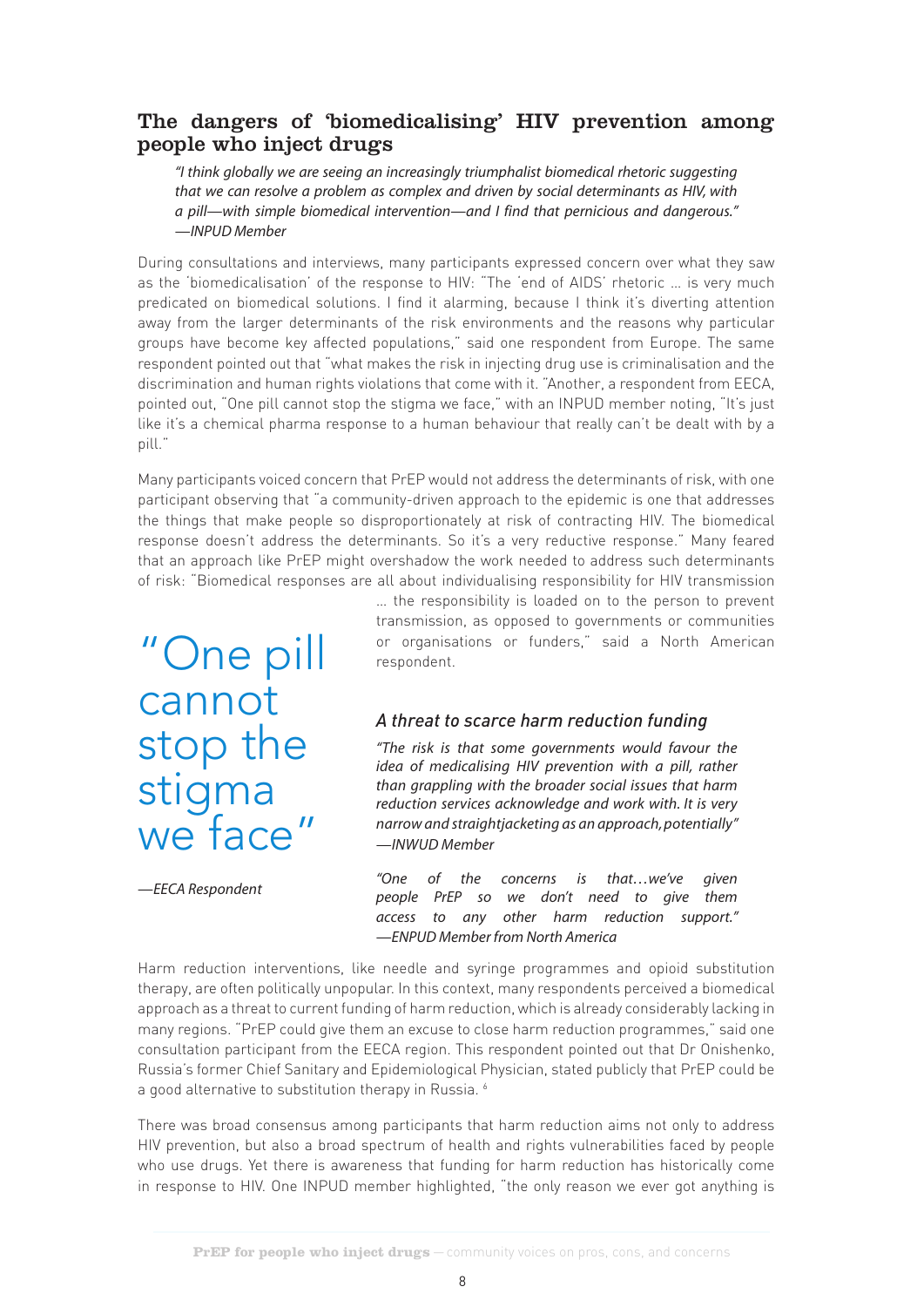#### The dangers of 'biomedicalising' HIV prevention among people who inject drugs

*"I think globally we are seeing an increasingly triumphalist biomedical rhetoric suggesting that we can resolve a problem as complex and driven by social determinants as HIV, with a pill—with simple biomedical intervention—and I find that pernicious and dangerous." —INPUD Member*

During consultations and interviews, many participants expressed concern over what they saw as the 'biomedicalisation' of the response to HIV: "The 'end of AIDS' rhetoric … is very much predicated on biomedical solutions. I find it alarming, because I think it's diverting attention away from the larger determinants of the risk environments and the reasons why particular groups have become key affected populations," said one respondent from Europe. The same respondent pointed out that "what makes the risk in injecting drug use is criminalisation and the discrimination and human rights violations that come with it. "Another, a respondent from EECA, pointed out, "One pill cannot stop the stigma we face," with an INPUD member noting, "It's just like it's a chemical pharma response to a human behaviour that really can't be dealt with by a pill."

Many participants voiced concern that PrEP would not address the determinants of risk, with one participant observing that "a community-driven approach to the epidemic is one that addresses the things that make people so disproportionately at risk of contracting HIV. The biomedical response doesn't address the determinants. So it's a very reductive response." Many feared that an approach like PrEP might overshadow the work needed to address such determinants of risk: "Biomedical responses are all about individualising responsibility for HIV transmission

"One pill cannot stop the stigma we face"

… the responsibility is loaded on to the person to prevent transmission, as opposed to governments or communities or organisations or funders," said a North American respondent.

#### *A threat to scarce harm reduction funding*

*"The risk is that some governments would favour the idea of medicalising HIV prevention with a pill, rather than grappling with the broader social issues that harm reduction services acknowledge and work with. It is very narrow and straightjacketing as an approach, potentially" —INWUD Member*

*—EECA Respondent*

*"One of the concerns is that…we've given people PrEP so we don't need to give them access to any other harm reduction support." —ENPUD Member from North America*

Harm reduction interventions, like needle and syringe programmes and opioid substitution therapy, are often politically unpopular. In this context, many respondents perceived a biomedical approach as a threat to current funding of harm reduction, which is already considerably lacking in many regions. "PrEP could give them an excuse to close harm reduction programmes," said one consultation participant from the EECA region. This respondent pointed out that Dr Onishenko, Russia's former Chief Sanitary and Epidemiological Physician, stated publicly that PrEP could be a good alternative to substitution therapy in Russia. <sup>6</sup>

There was broad consensus among participants that harm reduction aims not only to address HIV prevention, but also a broad spectrum of health and rights vulnerabilities faced by people who use drugs. Yet there is awareness that funding for harm reduction has historically come in response to HIV. One INPUD member highlighted, "the only reason we ever got anything is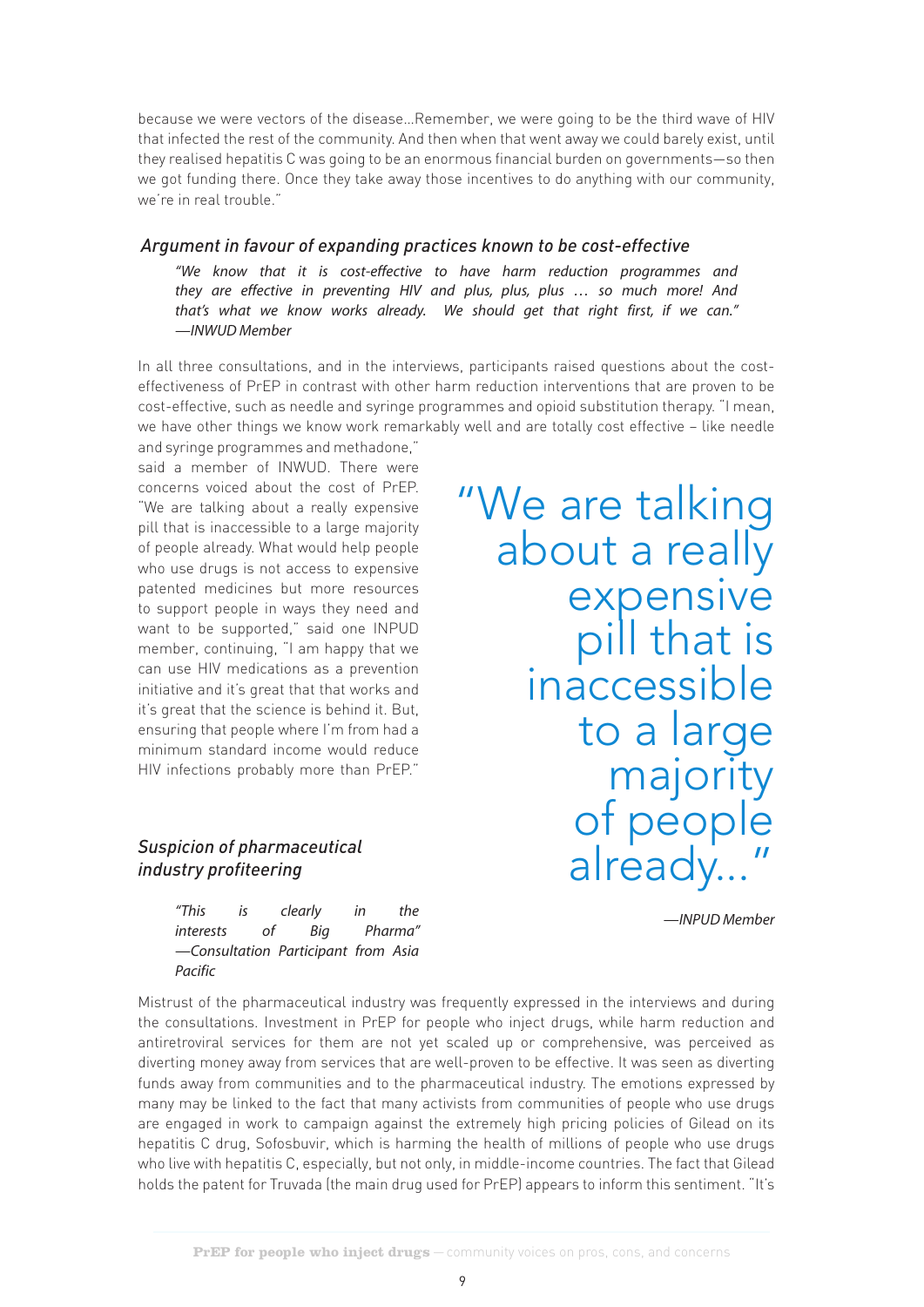because we were vectors of the disease…Remember, we were going to be the third wave of HIV that infected the rest of the community. And then when that went away we could barely exist, until they realised hepatitis C was going to be an enormous financial burden on governments—so then we got funding there. Once they take away those incentives to do anything with our community, we're in real trouble."

#### *Argument in favour of expanding practices known to be cost-effective*

*"We know that it is cost-effective to have harm reduction programmes and they are effective in preventing HIV and plus, plus, plus … so much more! And that's what we know works already. We should get that right first, if we can." —INWUD Member*

In all three consultations, and in the interviews, participants raised questions about the costeffectiveness of PrEP in contrast with other harm reduction interventions that are proven to be cost-effective, such as needle and syringe programmes and opioid substitution therapy. "I mean, we have other things we know work remarkably well and are totally cost effective – like needle and syringe programmes and methadone,"

said a member of INWUD. There were concerns voiced about the cost of PrEP. "We are talking about a really expensive pill that is inaccessible to a large majority of people already. What would help people who use drugs is not access to expensive patented medicines but more resources to support people in ways they need and want to be supported," said one INPUD member, continuing, "I am happy that we can use HIV medications as a prevention initiative and it's great that that works and it's great that the science is behind it. But, ensuring that people where I'm from had a minimum standard income would reduce HIV infections probably more than PrEP."

#### *Suspicion of pharmaceutical industry profiteering*

*"This is clearly in the interests of Big Pharma" —Consultation Participant from Asia Pacific*

"We are talking about a really expensive<br>pill that is inaccessible to a large majority of people already...

*—INPUD Member*

Mistrust of the pharmaceutical industry was frequently expressed in the interviews and during the consultations. Investment in PrEP for people who inject drugs, while harm reduction and antiretroviral services for them are not yet scaled up or comprehensive, was perceived as diverting money away from services that are well-proven to be effective. It was seen as diverting funds away from communities and to the pharmaceutical industry. The emotions expressed by many may be linked to the fact that many activists from communities of people who use drugs are engaged in work to campaign against the extremely high pricing policies of Gilead on its hepatitis C drug, Sofosbuvir, which is harming the health of millions of people who use drugs who live with hepatitis C, especially, but not only, in middle-income countries. The fact that Gilead holds the patent for Truvada (the main drug used for PrEP) appears to inform this sentiment. "It's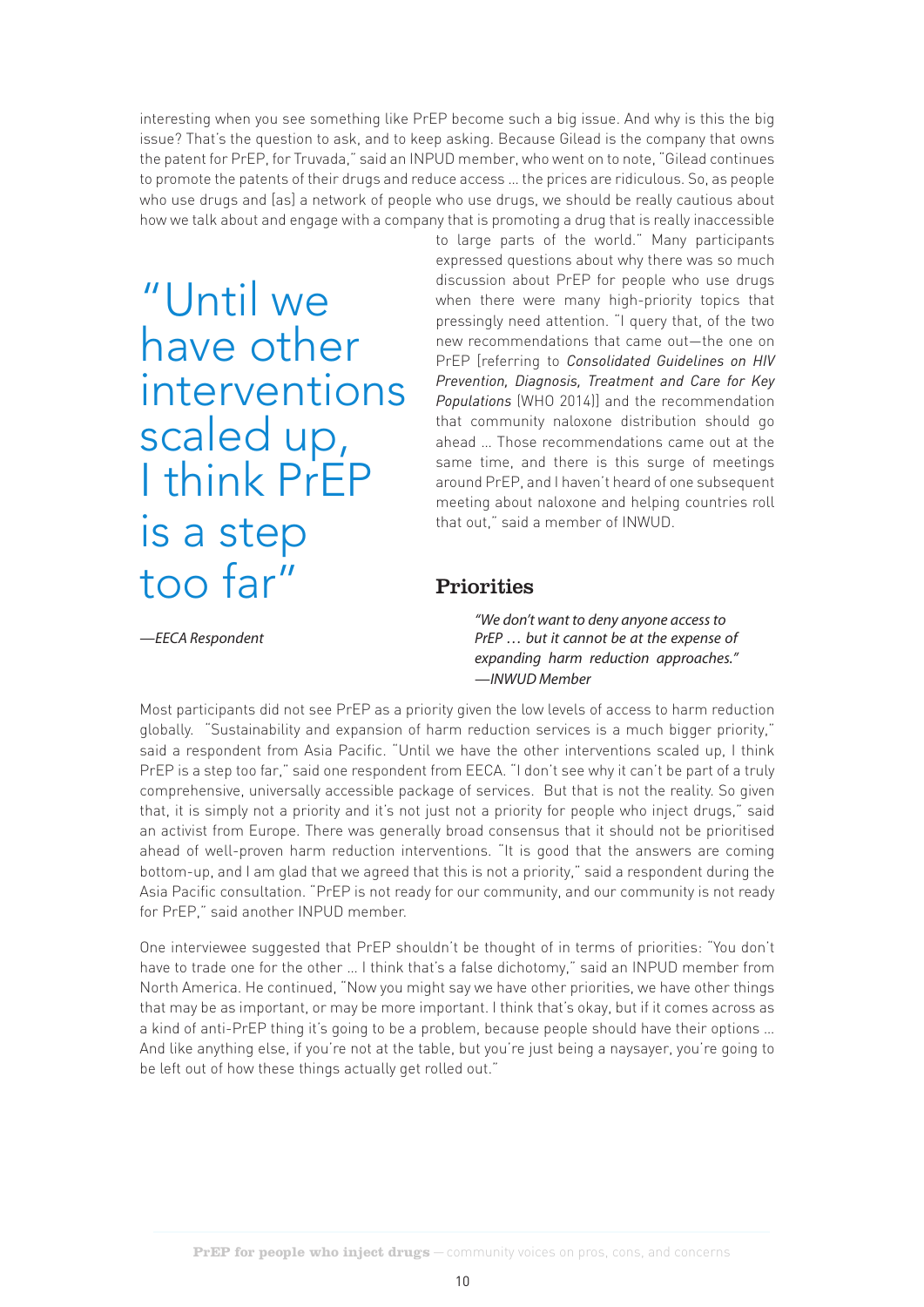interesting when you see something like PrEP become such a big issue. And why is this the big issue? That's the question to ask, and to keep asking. Because Gilead is the company that owns the patent for PrEP, for Truvada," said an INPUD member, who went on to note, "Gilead continues to promote the patents of their drugs and reduce access … the prices are ridiculous. So, as people who use drugs and [as] a network of people who use drugs, we should be really cautious about how we talk about and engage with a company that is promoting a drug that is really inaccessible

"Until we have other interventions scaled up, I think PrEP is a step too far"

to large parts of the world." Many participants expressed questions about why there was so much discussion about PrEP for people who use drugs when there were many high-priority topics that pressingly need attention. "I query that, of the two new recommendations that came out—the one on PrEP [referring to *Consolidated Guidelines on HIV Prevention, Diagnosis, Treatment and Care for Key Populations* (WHO 2014)] and the recommendation that community naloxone distribution should go ahead … Those recommendations came out at the same time, and there is this surge of meetings around PrEP, and I haven't heard of one subsequent meeting about naloxone and helping countries roll that out," said a member of INWUD.

## Priorities

*—EECA Respondent*

 *"We don't want to deny anyone access to PrEP … but it cannot be at the expense of expanding harm reduction approaches." —INWUD Member*

Most participants did not see PrEP as a priority given the low levels of access to harm reduction globally. "Sustainability and expansion of harm reduction services is a much bigger priority," said a respondent from Asia Pacific. "Until we have the other interventions scaled up, I think PrEP is a step too far," said one respondent from EECA. "I don't see why it can't be part of a truly comprehensive, universally accessible package of services. But that is not the reality. So given that, it is simply not a priority and it's not just not a priority for people who inject drugs," said an activist from Europe. There was generally broad consensus that it should not be prioritised ahead of well-proven harm reduction interventions. "It is good that the answers are coming bottom-up, and I am glad that we agreed that this is not a priority," said a respondent during the Asia Pacific consultation. "PrEP is not ready for our community, and our community is not ready for PrEP," said another INPUD member.

One interviewee suggested that PrEP shouldn't be thought of in terms of priorities: "You don't have to trade one for the other … I think that's a false dichotomy," said an INPUD member from North America. He continued, "Now you might say we have other priorities, we have other things that may be as important, or may be more important. I think that's okay, but if it comes across as a kind of anti-PrEP thing it's going to be a problem, because people should have their options … And like anything else, if you're not at the table, but you're just being a naysayer, you're going to be left out of how these things actually get rolled out."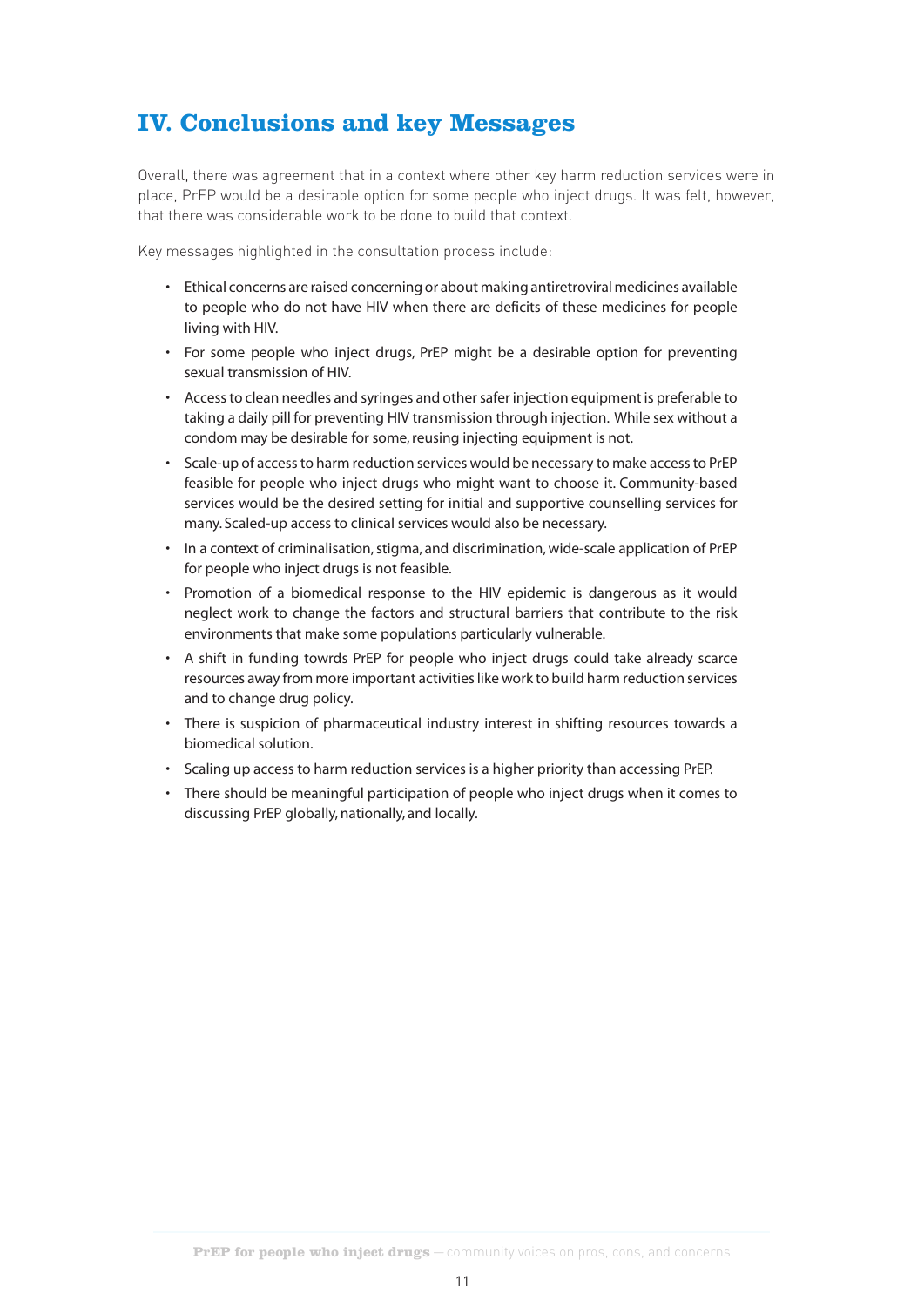# **IV. Conclusions and key Messages**

Overall, there was agreement that in a context where other key harm reduction services were in place, PrEP would be a desirable option for some people who inject drugs. It was felt, however, that there was considerable work to be done to build that context.

Key messages highlighted in the consultation process include:

- Ethical concerns are raised concerning or about making antiretroviral medicines available to people who do not have HIV when there are deficits of these medicines for people living with HIV.
- For some people who inject drugs, PrEP might be a desirable option for preventing sexual transmission of HIV.
- Access to clean needles and syringes and other safer injection equipment is preferable to taking a daily pill for preventing HIV transmission through injection . While sex without a condom may be desirable for some, reusing injecting equipment is not.
- Scale-up of access to harm reduction services would be necessary to make access to PrEP feasible for people who inject drugs who might want to choose it . Community-based services would be the desired setting for initial and supportive counselling services for many. Scaled-up access to clinical services would also be necessary.
- In a context of criminalisation, stigma, and discrimination, wide-scale application of PrEP for people who inject drugs is not feasible.
- Promotion of a biomedical response to the HIV epidemic is dangerous as it would neglect work to change the factors and structural barriers that contribute to the risk environments that make some populations particularly vulnerable.
- A shift in funding towrds PrEP for people who inject drugs could take already scarce resources away from more important activities like work to build harm reduction services and to change drug policy.
- There is suspicion of pharmaceutical industry interest in shifting resources towards a biomedical solution.
- Scaling up access to harm reduction services is a higher priority than accessing PrEP .
- There should be meaningful participation of people who inject drugs when it comes to discussing PrEP globally, nationally, and locally.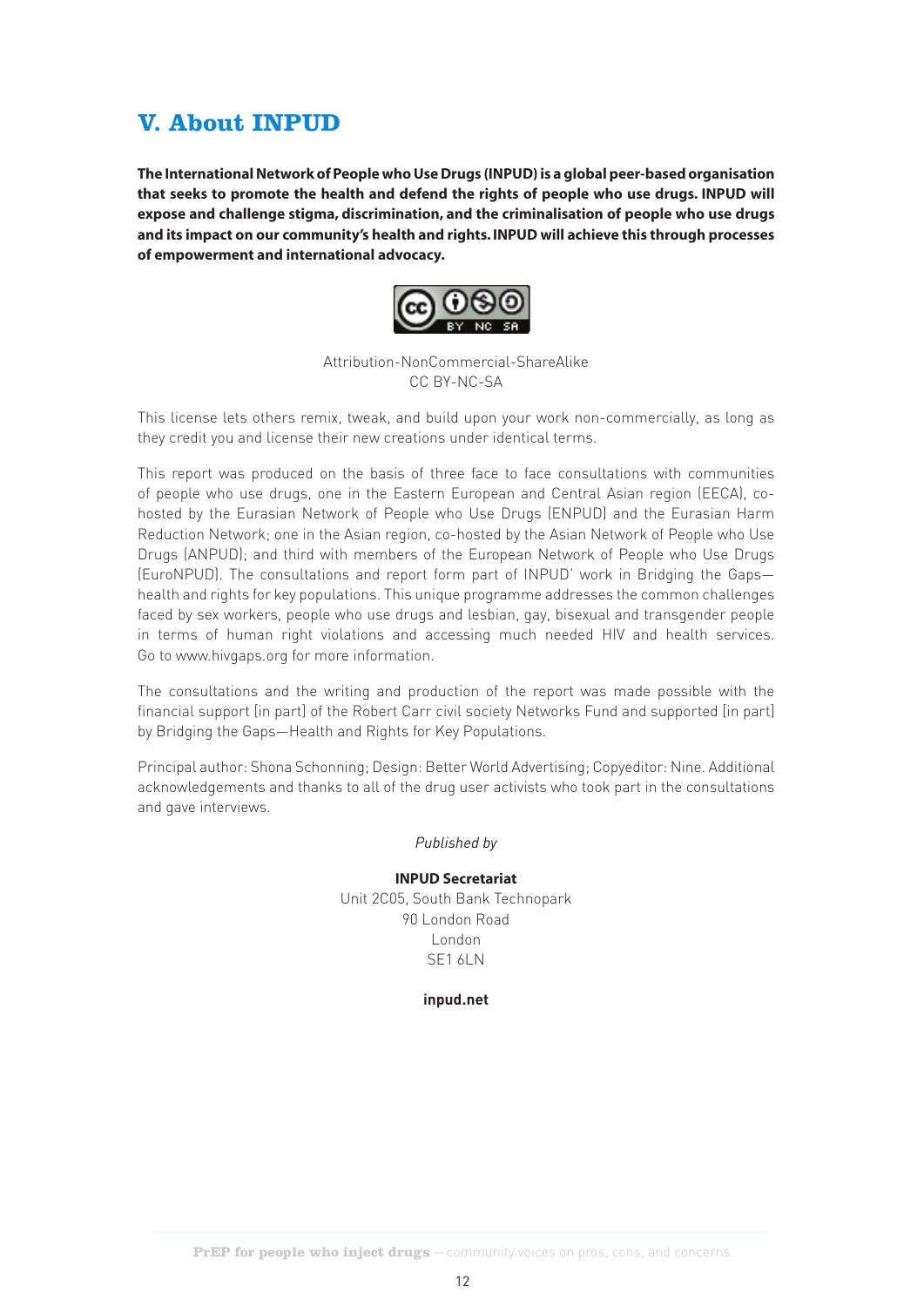# **V. About INPUD**

**The International Network of People who Use Drugs (INPUD) is a global peer-based organisation that seeks to promote the health and defend the rights of people who use drugs. INPUD will expose and challenge stigma, discrimination, and the criminalisation of people who use drugs and its impact on our community's health and rights. INPUD will achieve this through processes of empowerment and international advocacy.** 



Attribution-NonCommercial-ShareAlike CC BY-NC-SA

This license lets others remix, tweak, and build upon your work non-commercially, as long as they credit you and license their new creations under identical terms.

This report was produced on the basis of three face to face consultations with communities of people who use drugs, one in the Eastern European and Central Asian region (EECA), cohosted by the Eurasian Network of People who Use Drugs (ENPUD) and the Eurasian Harm Reduction Network; one in the Asian region, co-hosted by the Asian Network of People who Use Drugs (ANPUD); and third with members of the European Network of People who Use Drugs (EuroNPUD). The consultations and report form part of INPUD' work in Bridging the Gaps health and rights for key populations. This unique programme addresses the common challenges faced by sex workers, people who use drugs and lesbian, gay, bisexual and transgender people in terms of human right violations and accessing much needed HIV and health services. Go to www.hivgaps.org for more information.

The consultations and the writing and production of the report was made possible with the financial support [in part] of the Robert Carr civil society Networks Fund and supported [in part] by Bridging the Gaps—Health and Rights for Key Populations.

Principal author: Shona Schonning; Design: Better World Advertising; Copyeditor: Nine. Additional acknowledgements and thanks to all of the drug user activists who took part in the consultations and gave interviews.

#### *Published by*

#### **INPUD Secretariat**

Unit 2C05, South Bank Technopark 90 London Road London SE1 6LN

#### **inpud.net**